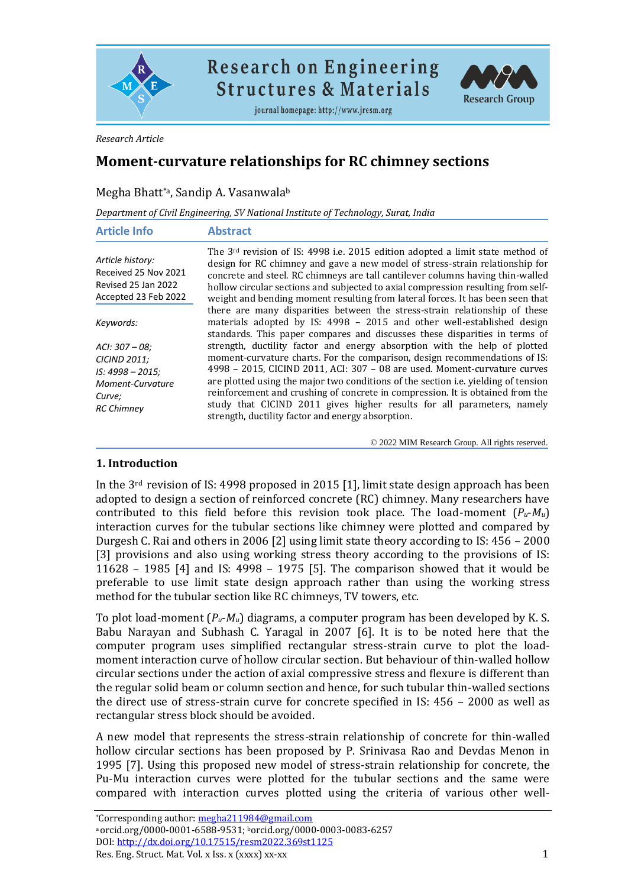

# **Research on Engineering Structures & Materials**

journal homepage: http://www.jresm.org



*Research Article*

## **Moment-curvature relationships for RC chimney sections**

## Megha Bhatt\*ª, Sandip A. Vasanwala<sup>b</sup>

|  | Department of Civil Engineering, SV National Institute of Technology, Surat, India |
|--|------------------------------------------------------------------------------------|
|  |                                                                                    |
|  |                                                                                    |

| <b>Article Info</b>                                                                                                           | <b>Abstract</b>                                                                                                                                                                                                                                                                                                                                                                                                                                                                                                                                                                                                                                                                                                                                                                          |
|-------------------------------------------------------------------------------------------------------------------------------|------------------------------------------------------------------------------------------------------------------------------------------------------------------------------------------------------------------------------------------------------------------------------------------------------------------------------------------------------------------------------------------------------------------------------------------------------------------------------------------------------------------------------------------------------------------------------------------------------------------------------------------------------------------------------------------------------------------------------------------------------------------------------------------|
| Article history:<br>Received 25 Nov 2021<br>Revised 25 Jan 2022<br>Accepted 23 Feb 2022                                       | The 3 <sup>rd</sup> revision of IS: 4998 i.e. 2015 edition adopted a limit state method of<br>design for RC chimney and gave a new model of stress-strain relationship for<br>concrete and steel. RC chimneys are tall cantilever columns having thin-walled<br>hollow circular sections and subjected to axial compression resulting from self-<br>weight and bending moment resulting from lateral forces. It has been seen that                                                                                                                                                                                                                                                                                                                                                       |
| Keywords:<br>$ACI: 307 - 08:$<br><b>CICIND 2011:</b><br>$IS: 4998 - 2015;$<br>Moment-Curvature<br>Curve;<br><b>RC Chimney</b> | there are many disparities between the stress-strain relationship of these<br>materials adopted by IS: 4998 - 2015 and other well-established design<br>standards. This paper compares and discusses these disparities in terms of<br>strength, ductility factor and energy absorption with the help of plotted<br>moment-curvature charts. For the comparison, design recommendations of IS:<br>4998 - 2015, CICIND 2011, ACI: 307 - 08 are used. Moment-curvature curves<br>are plotted using the major two conditions of the section <i>i.e.</i> yielding of tension<br>reinforcement and crushing of concrete in compression. It is obtained from the<br>study that CICIND 2011 gives higher results for all parameters, namely<br>strength, ductility factor and energy absorption. |

© 2022 MIM Research Group. All rights reserved.

## **1. Introduction**

In the 3rd revision of IS: 4998 proposed in 2015 [1], limit state design approach has been adopted to design a section of reinforced concrete (RC) chimney. Many researchers have contributed to this field before this revision took place. The load-moment  $(P_u - M_u)$ interaction curves for the tubular sections like chimney were plotted and compared by Durgesh C. Rai and others in 2006 [2] using limit state theory according to IS: 456 – 2000 [3] provisions and also using working stress theory according to the provisions of IS: 11628 – 1985 [4] and IS: 4998 – 1975 [5]. The comparison showed that it would be preferable to use limit state design approach rather than using the working stress method for the tubular section like RC chimneys, TV towers, etc.

To plot load-moment (*Pu*-*Mu*) diagrams, a computer program has been developed by K. S. Babu Narayan and Subhash C. Yaragal in 2007 [6]. It is to be noted here that the computer program uses simplified rectangular stress-strain curve to plot the loadmoment interaction curve of hollow circular section. But behaviour of thin-walled hollow circular sections under the action of axial compressive stress and flexure is different than the regular solid beam or column section and hence, for such tubular thin-walled sections the direct use of stress-strain curve for concrete specified in IS: 456 – 2000 as well as rectangular stress block should be avoided.

A new model that represents the stress-strain relationship of concrete for thin-walled hollow circular sections has been proposed by P. Srinivasa Rao and Devdas Menon in 1995 [7]. Using this proposed new model of stress-strain relationship for concrete, the Pu-Mu interaction curves were plotted for the tubular sections and the same were compared with interaction curves plotted using the criteria of various other well-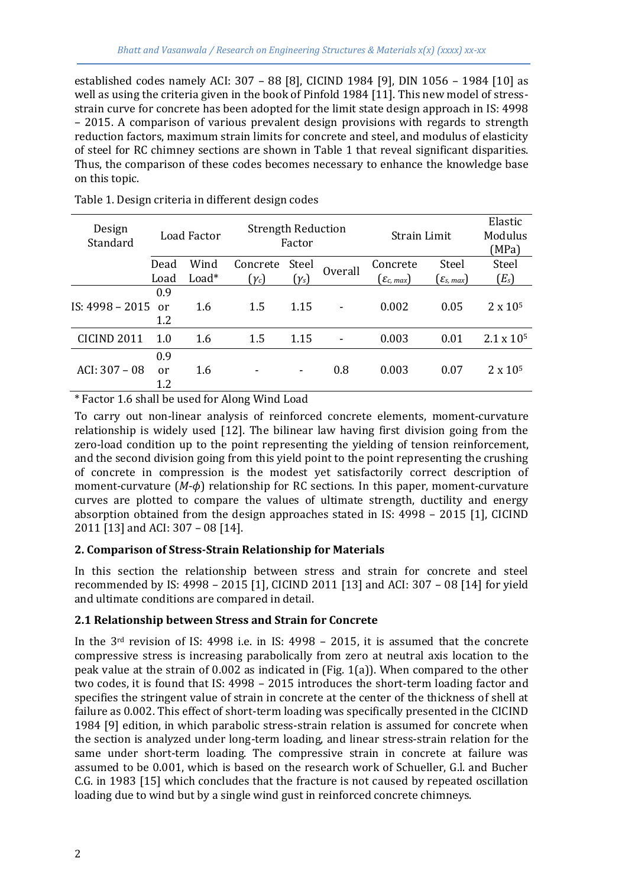established codes namely ACI: 307 – 88 [8], CICIND 1984 [9], DIN 1056 – 1984 [10] as well as using the criteria given in the book of Pinfold 1984 [11]. This new model of stressstrain curve for concrete has been adopted for the limit state design approach in IS: 4998 – 2015. A comparison of various prevalent design provisions with regards to strength reduction factors, maximum strain limits for concrete and steel, and modulus of elasticity of steel for RC chimney sections are shown in Table 1 that reveal significant disparities. Thus, the comparison of these codes becomes necessary to enhance the knowledge base on this topic.

| Design<br>Standard     |                  | Load Factor | <b>Strength Reduction</b> | Factor         |         | Strain Limit             | Elastic<br>Modulus<br>(MPa) |                     |  |
|------------------------|------------------|-------------|---------------------------|----------------|---------|--------------------------|-----------------------------|---------------------|--|
|                        | Dead             | Wind        | Concrete                  | Steel          | Overall | Concrete                 | Steel                       | Steel               |  |
|                        | $Load*$<br>Load  |             | $(\gamma_c)$              | $(\gamma_s)$   |         | $(\varepsilon_{c, max})$ | $(\varepsilon_{s, max})$    | $(E_s)$             |  |
| IS: 4998 - 2015        | 0.9<br>or<br>1.2 | 1.6         | 1.5                       | 1.15           |         | 0.002                    | 0.05                        | $2 \times 10^{5}$   |  |
| CICIND <sub>2011</sub> | 1.0              | 1.6         | 1.5                       | 1.15           |         | 0.003                    | 0.01                        | $2.1 \times 10^{5}$ |  |
| ACI: $307 - 08$        | 0.9<br>or<br>1.2 | 1.6         |                           | $\blacksquare$ | 0.8     | 0.003                    | 0.07                        | $2 \times 10^{5}$   |  |

Table 1. Design criteria in different design codes

\* Factor 1.6 shall be used for Along Wind Load

To carry out non-linear analysis of reinforced concrete elements, moment-curvature relationship is widely used [12]. The bilinear law having first division going from the zero-load condition up to the point representing the yielding of tension reinforcement, and the second division going from this yield point to the point representing the crushing of concrete in compression is the modest yet satisfactorily correct description of moment-curvature (*M*-*ϕ*) relationship for RC sections. In this paper, moment-curvature curves are plotted to compare the values of ultimate strength, ductility and energy absorption obtained from the design approaches stated in IS: 4998 – 2015 [1], CICIND 2011 [13] and ACI: 307 – 08 [14].

## **2. Comparison of Stress-Strain Relationship for Materials**

In this section the relationship between stress and strain for concrete and steel recommended by IS: 4998 – 2015 [1], CICIND 2011 [13] and ACI: 307 – 08 [14] for yield and ultimate conditions are compared in detail.

## **2.1 Relationship between Stress and Strain for Concrete**

In the  $3<sup>rd</sup>$  revision of IS: 4998 i.e. in IS: 4998 – 2015, it is assumed that the concrete compressive stress is increasing parabolically from zero at neutral axis location to the peak value at the strain of 0.002 as indicated in (Fig. 1(a)). When compared to the other two codes, it is found that IS: 4998 – 2015 introduces the short-term loading factor and specifies the stringent value of strain in concrete at the center of the thickness of shell at failure as 0.002. This effect of short-term loading was specifically presented in the CICIND 1984 [9] edition, in which parabolic stress-strain relation is assumed for concrete when the section is analyzed under long-term loading, and linear stress-strain relation for the same under short-term loading. The compressive strain in concrete at failure was assumed to be 0.001, which is based on the research work of Schueller, G.l. and Bucher C.G. in 1983 [15] which concludes that the fracture is not caused by repeated oscillation loading due to wind but by a single wind gust in reinforced concrete chimneys.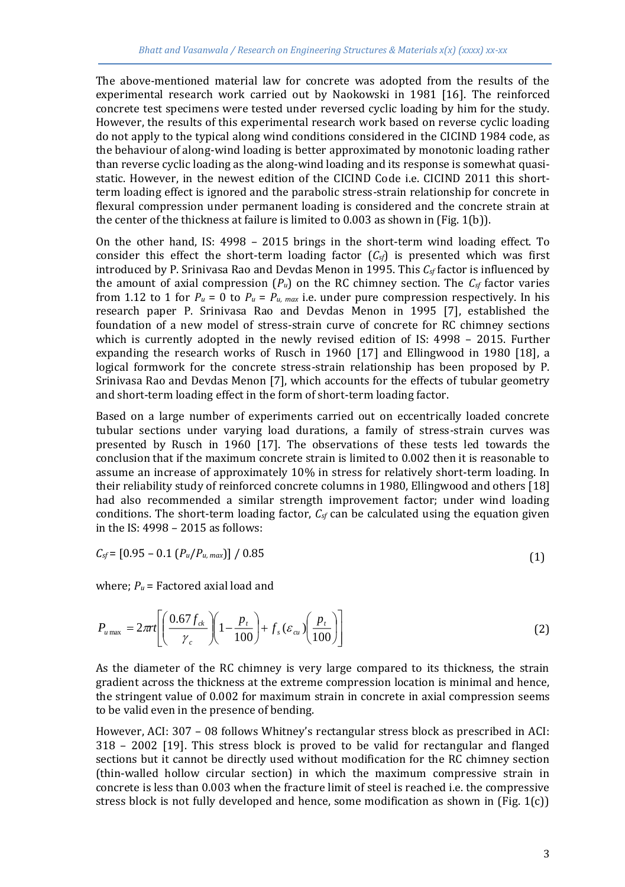The above-mentioned material law for concrete was adopted from the results of the experimental research work carried out by Naokowski in 1981 [16]. The reinforced concrete test specimens were tested under reversed cyclic loading by him for the study. However, the results of this experimental research work based on reverse cyclic loading do not apply to the typical along wind conditions considered in the CICIND 1984 code, as the behaviour of along-wind loading is better approximated by monotonic loading rather than reverse cyclic loading as the along-wind loading and its response is somewhat quasistatic. However, in the newest edition of the CICIND Code i.e. CICIND 2011 this shortterm loading effect is ignored and the parabolic stress-strain relationship for concrete in flexural compression under permanent loading is considered and the concrete strain at the center of the thickness at failure is limited to 0.003 as shown in (Fig. 1(b)).

On the other hand, IS: 4998 – 2015 brings in the short-term wind loading effect. To consider this effect the short-term loading factor  $(C<sub>sf</sub>)$  is presented which was first introduced by P. Srinivasa Rao and Devdas Menon in 1995. This *Csf* factor is influenced by the amount of axial compression  $(P_u)$  on the RC chimney section. The  $C_{sf}$  factor varies from 1.12 to 1 for  $P_u = 0$  to  $P_u = P_u$ , max i.e. under pure compression respectively. In his research paper P. Srinivasa Rao and Devdas Menon in 1995 [7], established the foundation of a new model of stress-strain curve of concrete for RC chimney sections which is currently adopted in the newly revised edition of IS: 4998 – 2015. Further expanding the research works of Rusch in 1960 [17] and Ellingwood in 1980 [18], a logical formwork for the concrete stress-strain relationship has been proposed by P. Srinivasa Rao and Devdas Menon [7], which accounts for the effects of tubular geometry and short-term loading effect in the form of short-term loading factor.

Based on a large number of experiments carried out on eccentrically loaded concrete tubular sections under varying load durations, a family of stress-strain curves was presented by Rusch in 1960 [17]. The observations of these tests led towards the conclusion that if the maximum concrete strain is limited to 0.002 then it is reasonable to assume an increase of approximately 10% in stress for relatively short-term loading. In their reliability study of reinforced concrete columns in 1980, Ellingwood and others [18] had also recommended a similar strength improvement factor; under wind loading conditions. The short-term loading factor, *Csf* can be calculated using the equation given in the IS: 4998 – 2015 as follows:

$$
C_{sf} = [0.95 - 0.1 (P_u / P_{u, max})] / 0.85
$$
\n(1)

where; *P<sup>u</sup>* = Factored axial load and

$$
P_{u \max} = 2\pi r \left[ \left( \frac{0.67 f_{ck}}{\gamma_c} \right) \left( 1 - \frac{p_t}{100} \right) + f_s \left( \varepsilon_{cu} \right) \left( \frac{p_t}{100} \right) \right]
$$
(2)

As the diameter of the RC chimney is very large compared to its thickness, the strain gradient across the thickness at the extreme compression location is minimal and hence, the stringent value of 0.002 for maximum strain in concrete in axial compression seems to be valid even in the presence of bending.

However, ACI: 307 – 08 follows Whitney's rectangular stress block as prescribed in ACI: 318 – 2002 [19]. This stress block is proved to be valid for rectangular and flanged sections but it cannot be directly used without modification for the RC chimney section (thin-walled hollow circular section) in which the maximum compressive strain in concrete is less than 0.003 when the fracture limit of steel is reached i.e. the compressive stress block is not fully developed and hence, some modification as shown in (Fig.  $1(c)$ )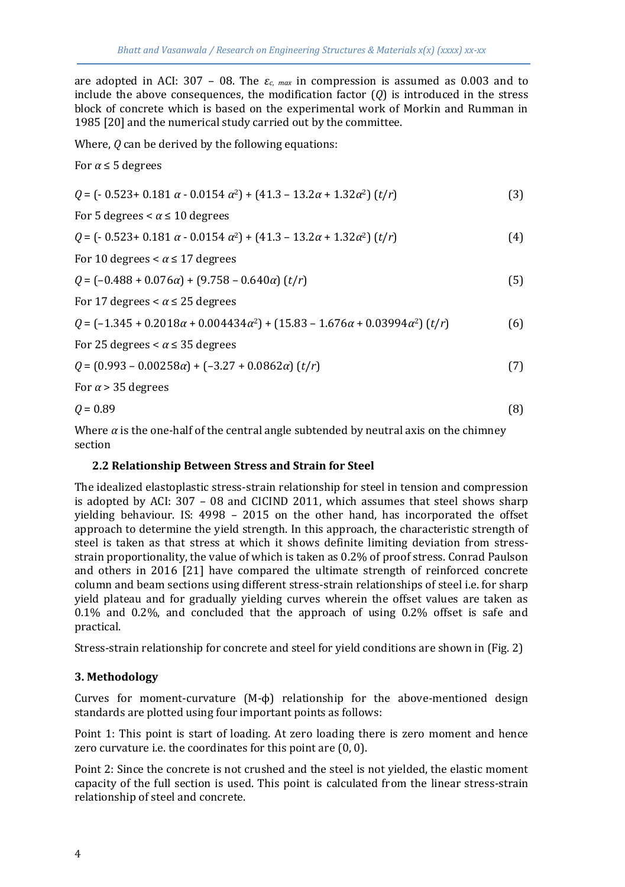are adopted in ACI: 307 – 08. The  $\varepsilon_c$  <sub>max</sub> in compression is assumed as 0.003 and to include the above consequences, the modification factor  $(Q)$  is introduced in the stress block of concrete which is based on the experimental work of Morkin and Rumman in 1985 [20] and the numerical study carried out by the committee.

Where, *Q* can be derived by the following equations:

For  $\alpha \leq 5$  degrees

 $Q = (-0.523 + 0.181 \alpha - 0.0154 \alpha^2) + (41.3 - 13.2\alpha + 1.32\alpha^2)$  (*t*/*r*) (3) For 5 degrees  $\lt \alpha \leq 10$  degrees

$$
Q = (-0.523 + 0.181 \alpha - 0.0154 \alpha^2) + (41.3 - 13.2\alpha + 1.32\alpha^2) (t/r)
$$
 (4)

For 10 degrees  $\lt \alpha \leq 17$  degrees

 $Q = \left(-0.488 + 0.076\alpha\right) + \left(9.758 - 0.640\alpha\right)\left(t/r\right)$  (5)

For 17 degrees  $\lt \alpha \leq 25$  degrees

*Q* = (–1.345 + 0.2018*α* + 0.004434*α*2) + (15.83 – 1.676*α* + 0.03994*α*2) (*t*/*r*) (6)

For 25 degrees  $\lt \alpha \leq 35$  degrees

$$
Q = (0.993 - 0.00258\alpha) + (-3.27 + 0.0862\alpha) (t/r)
$$
\n(7)

For  $\alpha$  > 35 degrees

$$
Q = 0.89\tag{8}
$$

Where  $\alpha$  is the one-half of the central angle subtended by neutral axis on the chimney section

## **2.2 Relationship Between Stress and Strain for Steel**

The idealized elastoplastic stress-strain relationship for steel in tension and compression is adopted by ACI: 307 – 08 and CICIND 2011, which assumes that steel shows sharp yielding behaviour. IS: 4998 – 2015 on the other hand, has incorporated the offset approach to determine the yield strength. In this approach, the characteristic strength of steel is taken as that stress at which it shows definite limiting deviation from stressstrain proportionality, the value of which is taken as 0.2% of proof stress. Conrad Paulson and others in 2016 [21] have compared the ultimate strength of reinforced concrete column and beam sections using different stress-strain relationships of steel i.e. for sharp yield plateau and for gradually yielding curves wherein the offset values are taken as 0.1% and 0.2%, and concluded that the approach of using 0.2% offset is safe and practical.

Stress-strain relationship for concrete and steel for yield conditions are shown in (Fig. 2)

## **3. Methodology**

Curves for moment-curvature (M-ϕ) relationship for the above-mentioned design standards are plotted using four important points as follows:

Point 1: This point is start of loading. At zero loading there is zero moment and hence zero curvature i.e. the coordinates for this point are (0, 0).

Point 2: Since the concrete is not crushed and the steel is not yielded, the elastic moment capacity of the full section is used. This point is calculated from the linear stress-strain relationship of steel and concrete.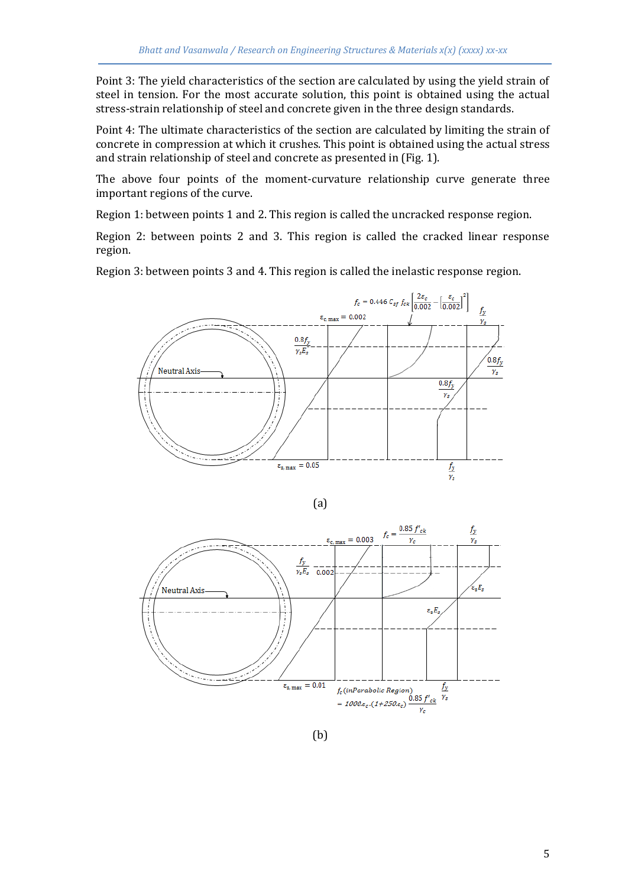Point 3: The yield characteristics of the section are calculated by using the yield strain of steel in tension. For the most accurate solution, this point is obtained using the actual stress-strain relationship of steel and concrete given in the three design standards.

Point 4: The ultimate characteristics of the section are calculated by limiting the strain of concrete in compression at which it crushes. This point is obtained using the actual stress and strain relationship of steel and concrete as presented in (Fig. 1).

The above four points of the moment-curvature relationship curve generate three important regions of the curve.

Region 1: between points 1 and 2. This region is called the uncracked response region.

Region 2: between points 2 and 3. This region is called the cracked linear response region.

Region 3: between points 3 and 4. This region is called the inelastic response region.



$$
(a)
$$



(b)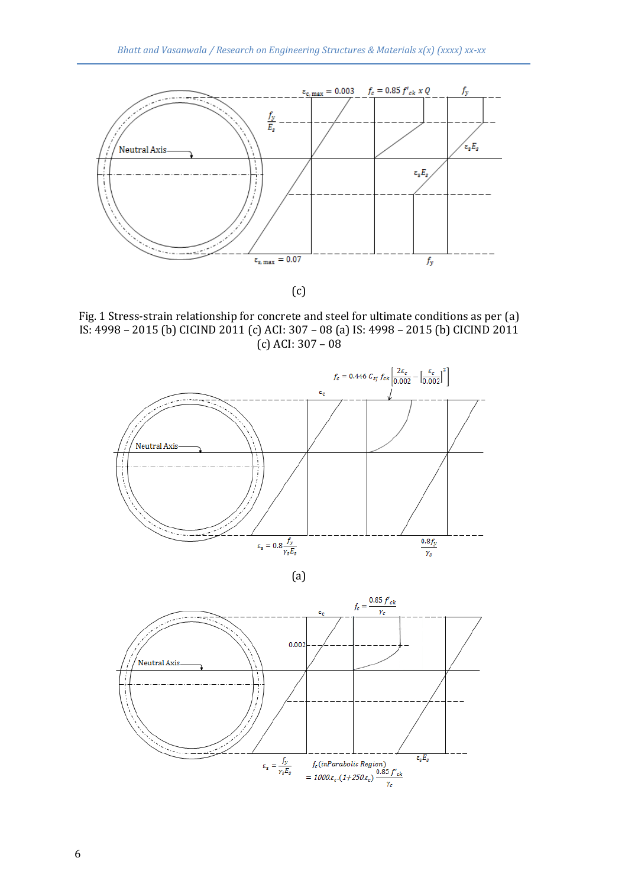

(c)

Fig. 1 Stress-strain relationship for concrete and steel for ultimate conditions as per (a) IS: 4998 – 2015 (b) CICIND 2011 (c) ACI: 307 – 08 (a) IS: 4998 – 2015 (b) CICIND 2011  $(c)$  ACI: 307 – 08





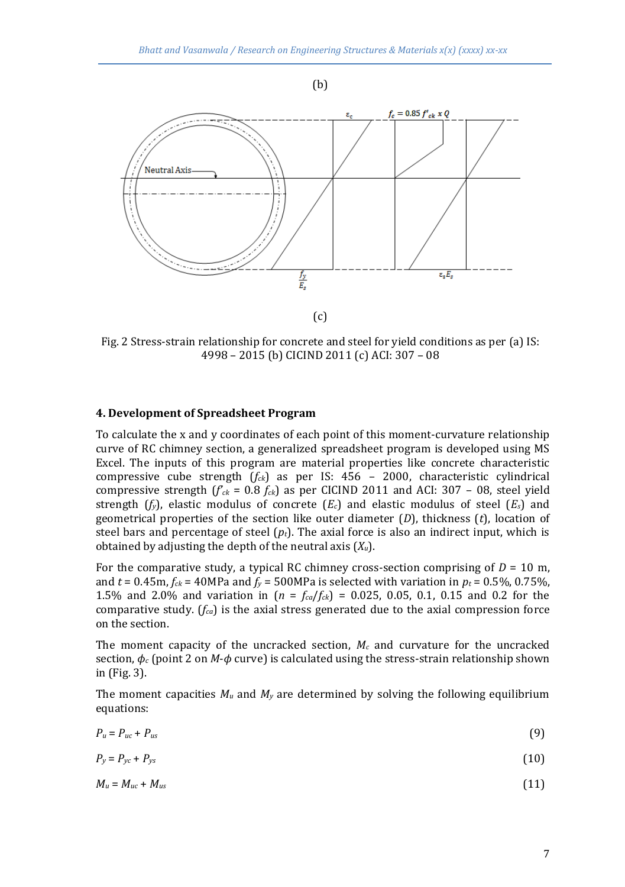



Fig. 2 Stress-strain relationship for concrete and steel for yield conditions as per (a) IS: 4998 – 2015 (b) CICIND 2011 (c) ACI: 307 – 08

#### **4. Development of Spreadsheet Program**

To calculate the x and y coordinates of each point of this moment-curvature relationship curve of RC chimney section, a generalized spreadsheet program is developed using MS Excel. The inputs of this program are material properties like concrete characteristic compressive cube strength (*fck*) as per IS: 456 – 2000, characteristic cylindrical compressive strength  $(f_{ck} = 0.8 f_{ck})$  as per CICIND 2011 and ACI: 307 – 08, steel yield strength  $(f_y)$ , elastic modulus of concrete  $(E_c)$  and elastic modulus of steel  $(E_s)$  and geometrical properties of the section like outer diameter (*D*), thickness (*t*), location of steel bars and percentage of steel  $(p_t)$ . The axial force is also an indirect input, which is obtained by adjusting the depth of the neutral axis (*Xu*).

For the comparative study, a typical RC chimney cross-section comprising of  $D = 10$  m, and  $t = 0.45$ m,  $f_{ck} = 40$ MPa and  $f_y = 500$ MPa is selected with variation in  $p_t = 0.5\%$ , 0.75%, 1.5% and 2.0% and variation in  $(n = f_{ca}/f_{ck}) = 0.025, 0.05, 0.1, 0.15$  and 0.2 for the comparative study. ( $f_{ca}$ ) is the axial stress generated due to the axial compression force on the section.

The moment capacity of the uncracked section,  $M_c$  and curvature for the uncracked section, *ϕ<sup>c</sup>* (point 2 on *M*-*ϕ* curve) is calculated using the stress-strain relationship shown in (Fig. 3).

The moment capacities  $M_u$  and  $M_v$  are determined by solving the following equilibrium equations:

$$
P_u = P_{uc} + P_{us} \tag{9}
$$

$$
P_y = P_{yc} + P_{ys} \tag{10}
$$

$$
M_u = M_{uc} + M_{us} \tag{11}
$$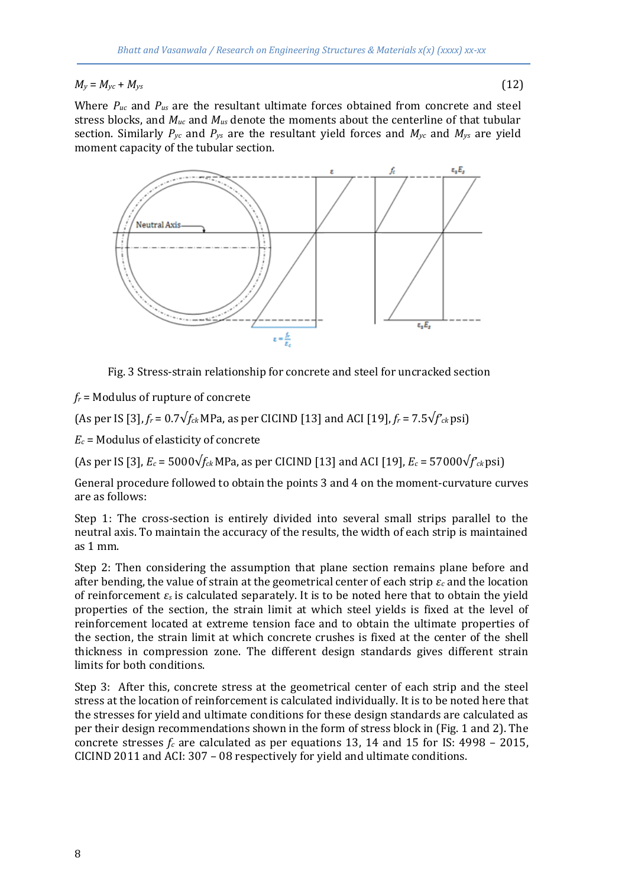$M_y = M_{yc} + M_{ys}$  (12)

Where *Puc* and *Pus* are the resultant ultimate forces obtained from concrete and steel stress blocks, and *Muc* and *Mus* denote the moments about the centerline of that tubular section. Similarly  $P_{yc}$  and  $P_{ys}$  are the resultant yield forces and  $M_{yc}$  and  $M_{ys}$  are yield moment capacity of the tubular section.



Fig. 3 Stress-strain relationship for concrete and steel for uncracked section

*f<sup>r</sup>* = Modulus of rupture of concrete

(As per IS [3], *f<sup>r</sup>* = 0.7√*fck* MPa, as per CICIND [13] and ACI [19], *f<sup>r</sup>* = 7.5√*f'ck* psi)

*E<sup>c</sup>* = Modulus of elasticity of concrete

(As per IS [3], *E<sup>c</sup>* = 5000√*fck* MPa, as per CICIND [13] and ACI [19], *E<sup>c</sup>* = 57000√*f'ck* psi)

General procedure followed to obtain the points 3 and 4 on the moment-curvature curves are as follows:

Step 1: The cross-section is entirely divided into several small strips parallel to the neutral axis. To maintain the accuracy of the results, the width of each strip is maintained as 1 mm.

Step 2: Then considering the assumption that plane section remains plane before and after bending, the value of strain at the geometrical center of each strip *ε<sup>c</sup>* and the location of reinforcement *ε<sup>s</sup>* is calculated separately. It is to be noted here that to obtain the yield properties of the section, the strain limit at which steel yields is fixed at the level of reinforcement located at extreme tension face and to obtain the ultimate properties of the section, the strain limit at which concrete crushes is fixed at the center of the shell thickness in compression zone. The different design standards gives different strain limits for both conditions.

Step 3: After this, concrete stress at the geometrical center of each strip and the steel stress at the location of reinforcement is calculated individually. It is to be noted here that the stresses for yield and ultimate conditions for these design standards are calculated as per their design recommendations shown in the form of stress block in (Fig. 1 and 2). The concrete stresses  $f_c$  are calculated as per equations 13, 14 and 15 for IS: 4998 – 2015, CICIND 2011 and ACI: 307 – 08 respectively for yield and ultimate conditions.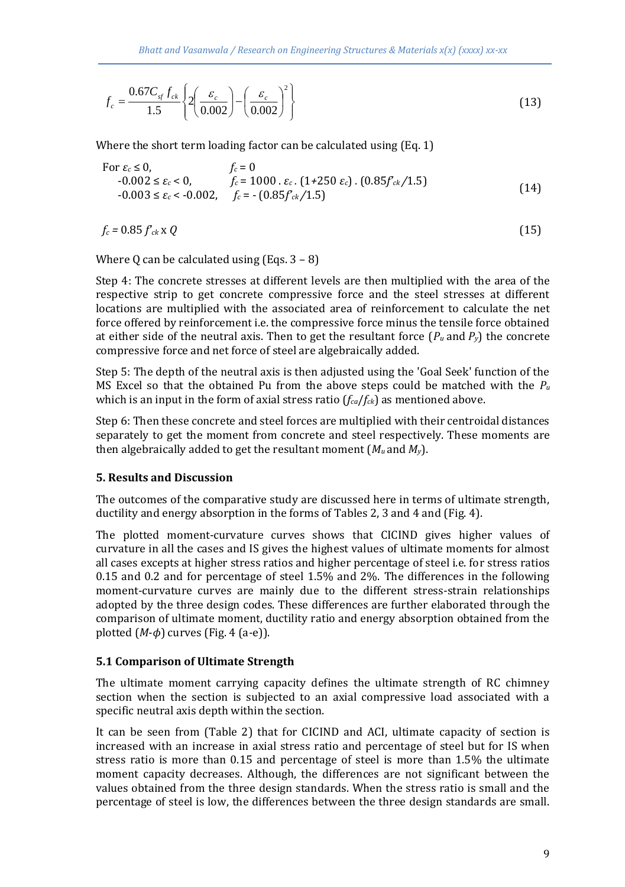$$
f_c = \frac{0.67 C_{sf} f_{ck}}{1.5} \left\{ 2 \left( \frac{\varepsilon_c}{0.002} \right) - \left( \frac{\varepsilon_c}{0.002} \right)^2 \right\}
$$
(13)

Where the short term loading factor can be calculated using (Eq. 1)

For 
$$
\varepsilon_c \le 0
$$
,  
\n $f_c = 0$   
\n $-0.002 \le \varepsilon_c < 0$ ,  
\n $f_c = 1000 \cdot \varepsilon_c$ . (1+250  $\varepsilon_c$ ). (0.85 $f_{ck}/1.5$ )  
\n $-0.003 \le \varepsilon_c < -0.002$ ,  $f_c = -(0.85f_{ck}/1.5)$  (14)

$$
f_c = 0.85 f_{ck} \times Q \tag{15}
$$

Where 0 can be calculated using  $(Eng. 3 - 8)$ 

Step 4: The concrete stresses at different levels are then multiplied with the area of the respective strip to get concrete compressive force and the steel stresses at different locations are multiplied with the associated area of reinforcement to calculate the net force offered by reinforcement i.e. the compressive force minus the tensile force obtained at either side of the neutral axis. Then to get the resultant force  $(P_u$  and  $P_v$ ) the concrete compressive force and net force of steel are algebraically added.

Step 5: The depth of the neutral axis is then adjusted using the 'Goal Seek' function of the MS Excel so that the obtained Pu from the above steps could be matched with the  $P_\mu$ which is an input in the form of axial stress ratio (*fca*/*fck*) as mentioned above.

Step 6: Then these concrete and steel forces are multiplied with their centroidal distances separately to get the moment from concrete and steel respectively. These moments are then algebraically added to get the resultant moment  $(M_u$  and  $M_v$ ).

#### **5. Results and Discussion**

The outcomes of the comparative study are discussed here in terms of ultimate strength, ductility and energy absorption in the forms of Tables 2, 3 and 4 and (Fig. 4).

The plotted moment-curvature curves shows that CICIND gives higher values of curvature in all the cases and IS gives the highest values of ultimate moments for almost all cases excepts at higher stress ratios and higher percentage of steel i.e. for stress ratios 0.15 and 0.2 and for percentage of steel 1.5% and 2%. The differences in the following moment-curvature curves are mainly due to the different stress-strain relationships adopted by the three design codes. These differences are further elaborated through the comparison of ultimate moment, ductility ratio and energy absorption obtained from the plotted  $(M-\phi)$  curves (Fig. 4 (a-e)).

#### **5.1 Comparison of Ultimate Strength**

The ultimate moment carrying capacity defines the ultimate strength of RC chimney section when the section is subjected to an axial compressive load associated with a specific neutral axis depth within the section.

It can be seen from (Table 2) that for CICIND and ACI, ultimate capacity of section is increased with an increase in axial stress ratio and percentage of steel but for IS when stress ratio is more than 0.15 and percentage of steel is more than 1.5% the ultimate moment capacity decreases. Although, the differences are not significant between the values obtained from the three design standards. When the stress ratio is small and the percentage of steel is low, the differences between the three design standards are small.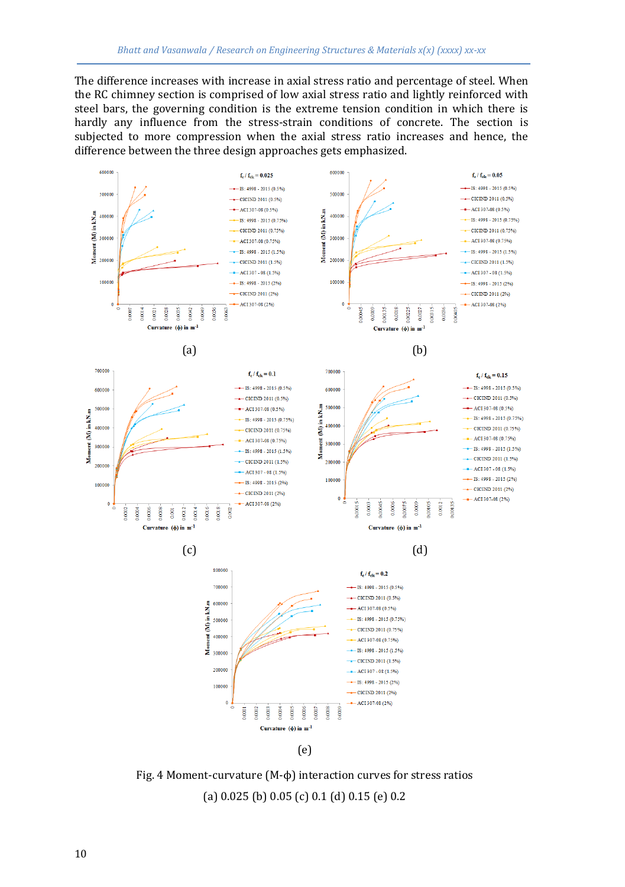The difference increases with increase in axial stress ratio and percentage of steel. When the RC chimney section is comprised of low axial stress ratio and lightly reinforced with steel bars, the governing condition is the extreme tension condition in which there is hardly any influence from the stress-strain conditions of concrete. The section is subjected to more compression when the axial stress ratio increases and hence, the difference between the three design approaches gets emphasized.



Fig. 4 Moment-curvature (M-ϕ) interaction curves for stress ratios (a) 0.025 (b) 0.05 (c) 0.1 (d) 0.15 (e) 0.2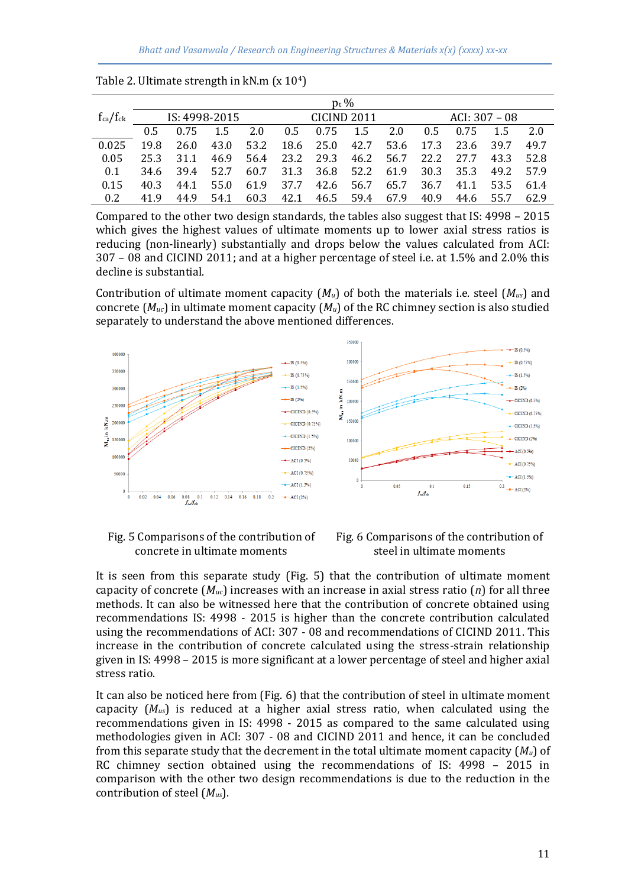|                 | $p_t$ % |               |      |      |             |                          |           |      |                 |           |           |      |
|-----------------|---------|---------------|------|------|-------------|--------------------------|-----------|------|-----------------|-----------|-----------|------|
| $f_{ca}/f_{ck}$ |         | IS: 4998-2015 |      |      | CICIND 2011 |                          |           |      | ACI: $307 - 08$ |           |           |      |
|                 | 0.5     | 0.75          | 1.5  | 2.0  |             | $0.5$ 0.75 1.5           |           | 2.0  | 0.5             | 0.75      | 1.5       | 2.0  |
| 0.025           | 19.8    | 26.0          | 43.0 | 53.2 |             | 18.6 25.0 42.7           |           |      | 53.6 17.3       | 23.6      | - 39.7    | 49.7 |
| 0.05            | 25.3    | 31.1          | 46.9 | 56.4 |             | 23.2 29.3 46.2           |           | 56.7 | 22.2            | 27.7      | 43.3      | 52.8 |
| 0.1             | 34.6    | 39.4          | 52.7 |      |             | 60.7 31.3 36.8 52.2 61.9 |           |      |                 | 30.3 35.3 | 49.2 57.9 |      |
| 0.15            | 40.3    | 44.1          | 55.0 |      | 61.9 37.7   |                          | 42.6 56.7 | 65.7 | 36.7            | 41.1      | 53.5 61.4 |      |
| 0.2.            | 419     | 44.9          | 54.1 | 60.3 | 42.1        |                          | 46.5 59.4 | 67.9 | 40.9            | 44.6      | 55.7      | 62.9 |

|  |  | Table 2. Ultimate strength in kN.m (x 104) |  |  |
|--|--|--------------------------------------------|--|--|
|--|--|--------------------------------------------|--|--|

Compared to the other two design standards, the tables also suggest that IS: 4998 – 2015 which gives the highest values of ultimate moments up to lower axial stress ratios is reducing (non-linearly) substantially and drops below the values calculated from ACI: 307 – 08 and CICIND 2011; and at a higher percentage of steel i.e. at 1.5% and 2.0% this decline is substantial.

Contribution of ultimate moment capacity (*Mu*) of both the materials i.e. steel (*Mus*) and concrete (*Muc*) in ultimate moment capacity (*Mu*) of the RC chimney section is also studied separately to understand the above mentioned differences.



Fig. 5 Comparisons of the contribution of concrete in ultimate moments



It is seen from this separate study (Fig. 5) that the contribution of ultimate moment capacity of concrete  $(M_{uc})$  increases with an increase in axial stress ratio  $(n)$  for all three methods. It can also be witnessed here that the contribution of concrete obtained using recommendations IS: 4998 - 2015 is higher than the concrete contribution calculated using the recommendations of ACI: 307 - 08 and recommendations of CICIND 2011. This increase in the contribution of concrete calculated using the stress-strain relationship given in IS: 4998 – 2015 is more significant at a lower percentage of steel and higher axial stress ratio.

It can also be noticed here from (Fig. 6) that the contribution of steel in ultimate moment capacity (*Mus*) is reduced at a higher axial stress ratio, when calculated using the recommendations given in IS: 4998 - 2015 as compared to the same calculated using methodologies given in ACI: 307 - 08 and CICIND 2011 and hence, it can be concluded from this separate study that the decrement in the total ultimate moment capacity (*Mu*) of RC chimney section obtained using the recommendations of IS: 4998 – 2015 in comparison with the other two design recommendations is due to the reduction in the contribution of steel (*Mus*).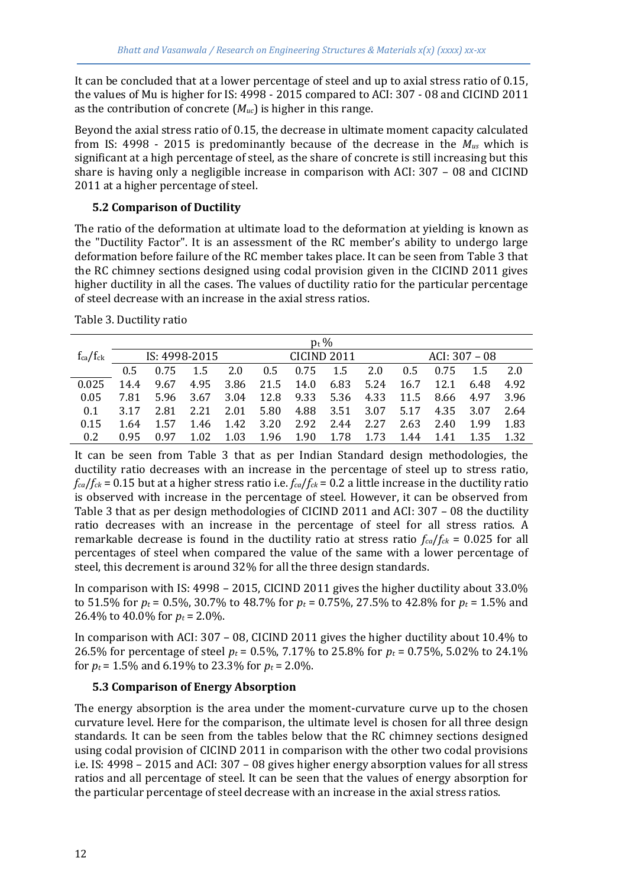It can be concluded that at a lower percentage of steel and up to axial stress ratio of 0.15, the values of Mu is higher for IS: 4998 - 2015 compared to ACI: 307 - 08 and CICIND 2011 as the contribution of concrete (*Muc*) is higher in this range.

Beyond the axial stress ratio of 0.15, the decrease in ultimate moment capacity calculated from IS: 4998 - 2015 is predominantly because of the decrease in the *Mus* which is significant at a high percentage of steel, as the share of concrete is still increasing but this share is having only a negligible increase in comparison with ACI: 307 – 08 and CICIND 2011 at a higher percentage of steel.

## **5.2 Comparison of Ductility**

The ratio of the deformation at ultimate load to the deformation at yielding is known as the "Ductility Factor". It is an assessment of the RC member's ability to undergo large deformation before failure of the RC member takes place. It can be seen from Table 3 that the RC chimney sections designed using codal provision given in the CICIND 2011 gives higher ductility in all the cases. The values of ductility ratio for the particular percentage of steel decrease with an increase in the axial stress ratios.

|                 | $p_t$ %       |      |      |      |                    |           |           |      |                 |      |      |      |
|-----------------|---------------|------|------|------|--------------------|-----------|-----------|------|-----------------|------|------|------|
| $f_{ca}/f_{ck}$ | IS: 4998-2015 |      |      |      | <b>CICIND 2011</b> |           |           |      | $ACI: 307 - 08$ |      |      |      |
|                 | 0.5           | 0.75 | 1.5  | 2.0  | 0.5                | 0.75      | 1.5       | 2.0  | 0.5             | 0.75 | -1.5 | 2.0  |
| 0.025           | 14.4          | 9.67 | 4.95 | 3.86 |                    | 21.5 14.0 | 6.83      | 5.24 | 16.7            | 12.1 | 6.48 | 4.92 |
| 0.05            | 7.81          | 5.96 | 3.67 | 3.04 | 12.8               |           | 9.33 5.36 | 4.33 | 11.5            | 8.66 | 4.97 | 3.96 |
| 0.1             | 3.17          | 2.81 | 2.21 | 2.01 | 5.80               |           | 4.88 3.51 | 3.07 | 5.17            | 4.35 | 3.07 | 2.64 |
| 0.15            | 1.64          | 1.57 | 1.46 | 1.42 | 3.20               | 2.92      | 2.44      | 2.27 | 2.63            | 2.40 | 1.99 | 1.83 |
| 0.2             | 0.95          | በ 97 | 1.02 | 1.03 | 1.96               | 1.90      | 1.78      | 1.73 | 1.44            | 1.41 | 1.35 | 1.32 |

Table 3. Ductility ratio

It can be seen from Table 3 that as per Indian Standard design methodologies, the ductility ratio decreases with an increase in the percentage of steel up to stress ratio,  $f_{ca}/f_{ck}$  = 0.15 but at a higher stress ratio i.e.  $f_{ca}/f_{ck}$  = 0.2 a little increase in the ductility ratio is observed with increase in the percentage of steel. However, it can be observed from Table 3 that as per design methodologies of CICIND 2011 and ACI: 307 – 08 the ductility ratio decreases with an increase in the percentage of steel for all stress ratios. A remarkable decrease is found in the ductility ratio at stress ratio  $f_{ca}/f_{ck} = 0.025$  for all percentages of steel when compared the value of the same with a lower percentage of steel, this decrement is around 32% for all the three design standards.

In comparison with IS: 4998 – 2015, CICIND 2011 gives the higher ductility about 33.0% to 51.5% for  $p_t = 0.5\%$ , 30.7% to 48.7% for  $p_t = 0.75\%$ , 27.5% to 42.8% for  $p_t = 1.5\%$  and 26.4% to 40.0% for  $p_t = 2.0\%$ .

In comparison with ACI: 307 – 08, CICIND 2011 gives the higher ductility about 10.4% to 26.5% for percentage of steel *p<sup>t</sup>* = 0.5%, 7.17% to 25.8% for *p<sup>t</sup>* = 0.75%, 5.02% to 24.1% for  $p_t$  = 1.5% and 6.19% to 23.3% for  $p_t$  = 2.0%.

## **5.3 Comparison of Energy Absorption**

The energy absorption is the area under the moment-curvature curve up to the chosen curvature level. Here for the comparison, the ultimate level is chosen for all three design standards. It can be seen from the tables below that the RC chimney sections designed using codal provision of CICIND 2011 in comparison with the other two codal provisions i.e. IS: 4998 – 2015 and ACI: 307 – 08 gives higher energy absorption values for all stress ratios and all percentage of steel. It can be seen that the values of energy absorption for the particular percentage of steel decrease with an increase in the axial stress ratios.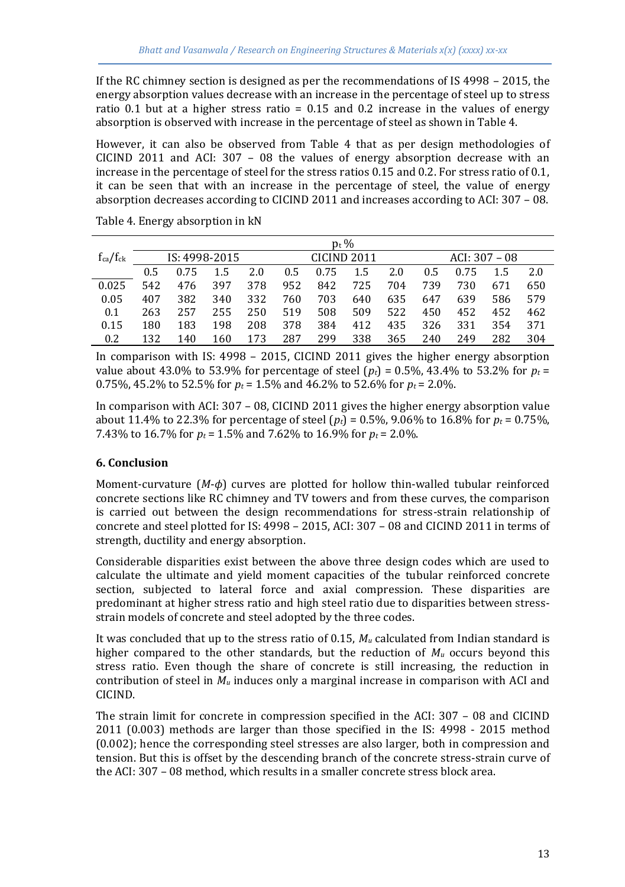If the RC chimney section is designed as per the recommendations of IS 4998 – 2015, the energy absorption values decrease with an increase in the percentage of steel up to stress ratio 0.1 but at a higher stress ratio  $= 0.15$  and 0.2 increase in the values of energy absorption is observed with increase in the percentage of steel as shown in Table 4.

However, it can also be observed from Table 4 that as per design methodologies of CICIND 2011 and ACI: 307 – 08 the values of energy absorption decrease with an increase in the percentage of steel for the stress ratios 0.15 and 0.2. For stress ratio of 0.1, it can be seen that with an increase in the percentage of steel, the value of energy absorption decreases according to CICIND 2011 and increases according to ACI: 307 – 08.

|                 | $p_t$ %       |      |     |     |                        |      |     |     |                 |      |     |     |
|-----------------|---------------|------|-----|-----|------------------------|------|-----|-----|-----------------|------|-----|-----|
| $f_{ca}/f_{ck}$ | IS: 4998-2015 |      |     |     | CICIND <sub>2011</sub> |      |     |     | ACI: $307 - 08$ |      |     |     |
|                 | 0.5           | 0.75 | 1.5 | 2.0 | 0.5                    | 0.75 | 1.5 | 2.0 | 0.5             | 0.75 | 1.5 | 2.0 |
| 0.025           | 542           | 476  | 397 | 378 | 952                    | 842  | 725 | 704 | 739             | 730  | 671 | 650 |
| 0.05            | 407           | 382  | 340 | 332 | 760                    | 703  | 640 | 635 | 647             | 639  | 586 | 579 |
| 0.1             | 263           | 257  | 255 | 250 | 519                    | 508  | 509 | 522 | 450             | 452  | 452 | 462 |
| 0.15            | 180           | 183  | 198 | 208 | 378                    | 384  | 412 | 435 | 326             | 331  | 354 | 371 |
| 0.2             | 132           | 140  | 160 | 173 | 287                    | 299  | 338 | 365 | 240             | 249  | 282 | 304 |

Table 4. Energy absorption in kN

In comparison with IS: 4998 – 2015, CICIND 2011 gives the higher energy absorption value about 43.0% to 53.9% for percentage of steel  $(p_t) = 0.5\%$ , 43.4% to 53.2% for  $p_t =$ 0.75%, 45.2% to 52.5% for  $p_t = 1.5$ % and 46.2% to 52.6% for  $p_t = 2.0$ %.

In comparison with ACI: 307 – 08, CICIND 2011 gives the higher energy absorption value about 11.4% to 22.3% for percentage of steel  $(p_t) = 0.5\%$ , 9.06% to 16.8% for  $p_t = 0.75\%$ , 7.43% to 16.7% for *p<sup>t</sup>* = 1.5% and 7.62% to 16.9% for *p<sup>t</sup>* = 2.0%.

## **6. Conclusion**

Moment-curvature (*M*-*ϕ*) curves are plotted for hollow thin-walled tubular reinforced concrete sections like RC chimney and TV towers and from these curves, the comparison is carried out between the design recommendations for stress-strain relationship of concrete and steel plotted for IS: 4998 – 2015, ACI: 307 – 08 and CICIND 2011 in terms of strength, ductility and energy absorption.

Considerable disparities exist between the above three design codes which are used to calculate the ultimate and yield moment capacities of the tubular reinforced concrete section, subjected to lateral force and axial compression. These disparities are predominant at higher stress ratio and high steel ratio due to disparities between stressstrain models of concrete and steel adopted by the three codes.

It was concluded that up to the stress ratio of 0.15,  $M_u$  calculated from Indian standard is higher compared to the other standards, but the reduction of  $M_u$  occurs beyond this stress ratio. Even though the share of concrete is still increasing, the reduction in contribution of steel in  $M_u$  induces only a marginal increase in comparison with ACI and CICIND.

The strain limit for concrete in compression specified in the ACI: 307 – 08 and CICIND 2011 (0.003) methods are larger than those specified in the IS: 4998 - 2015 method (0.002); hence the corresponding steel stresses are also larger, both in compression and tension. But this is offset by the descending branch of the concrete stress-strain curve of the ACI: 307 – 08 method, which results in a smaller concrete stress block area.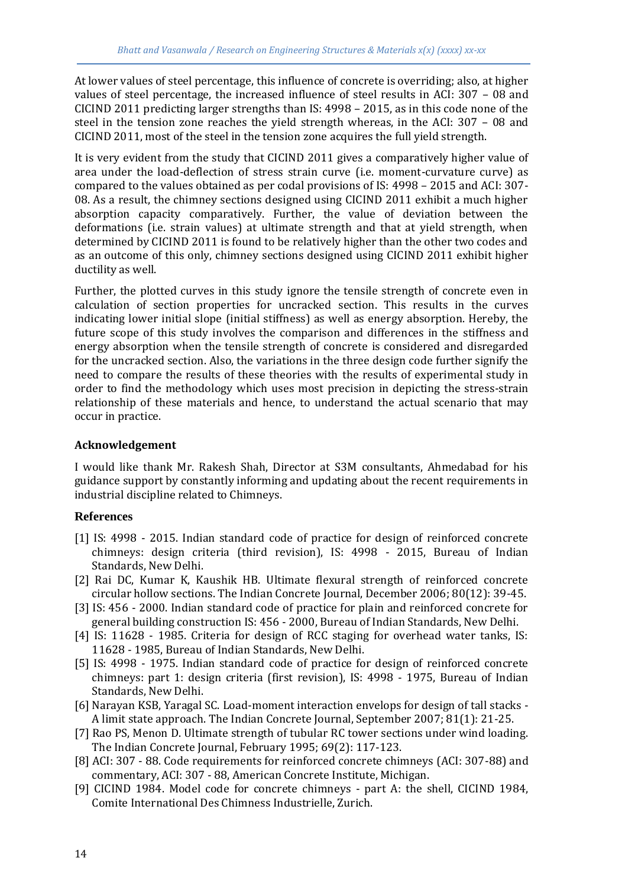At lower values of steel percentage, this influence of concrete is overriding; also, at higher values of steel percentage, the increased influence of steel results in ACI: 307 – 08 and CICIND 2011 predicting larger strengths than IS: 4998 – 2015, as in this code none of the steel in the tension zone reaches the yield strength whereas, in the ACI: 307 – 08 and CICIND 2011, most of the steel in the tension zone acquires the full yield strength.

It is very evident from the study that CICIND 2011 gives a comparatively higher value of area under the load-deflection of stress strain curve (i.e. moment-curvature curve) as compared to the values obtained as per codal provisions of IS: 4998 – 2015 and ACI: 307- 08. As a result, the chimney sections designed using CICIND 2011 exhibit a much higher absorption capacity comparatively. Further, the value of deviation between the deformations (i.e. strain values) at ultimate strength and that at yield strength, when determined by CICIND 2011 is found to be relatively higher than the other two codes and as an outcome of this only, chimney sections designed using CICIND 2011 exhibit higher ductility as well.

Further, the plotted curves in this study ignore the tensile strength of concrete even in calculation of section properties for uncracked section. This results in the curves indicating lower initial slope (initial stiffness) as well as energy absorption. Hereby, the future scope of this study involves the comparison and differences in the stiffness and energy absorption when the tensile strength of concrete is considered and disregarded for the uncracked section. Also, the variations in the three design code further signify the need to compare the results of these theories with the results of experimental study in order to find the methodology which uses most precision in depicting the stress-strain relationship of these materials and hence, to understand the actual scenario that may occur in practice.

## **Acknowledgement**

I would like thank Mr. Rakesh Shah, Director at S3M consultants, Ahmedabad for his guidance support by constantly informing and updating about the recent requirements in industrial discipline related to Chimneys.

## **References**

- [1] IS: 4998 2015. Indian standard code of practice for design of reinforced concrete chimneys: design criteria (third revision), IS: 4998 - 2015, Bureau of Indian Standards, New Delhi.
- [2] Rai DC, Kumar K, Kaushik HB. Ultimate flexural strength of reinforced concrete circular hollow sections. The Indian Concrete Journal, December 2006; 80(12): 39-45.
- [3] IS: 456 2000. Indian standard code of practice for plain and reinforced concrete for general building construction IS: 456 - 2000, Bureau of Indian Standards, New Delhi.
- [4] IS: 11628 1985. Criteria for design of RCC staging for overhead water tanks, IS: 11628 - 1985, Bureau of Indian Standards, New Delhi.
- [5] IS: 4998 1975. Indian standard code of practice for design of reinforced concrete chimneys: part 1: design criteria (first revision), IS: 4998 - 1975, Bureau of Indian Standards, New Delhi.
- [6] Narayan KSB, Yaragal SC. Load-moment interaction envelops for design of tall stacks A limit state approach. The Indian Concrete Journal, September 2007; 81(1): 21-25.
- [7] Rao PS, Menon D. Ultimate strength of tubular RC tower sections under wind loading. The Indian Concrete Journal, February 1995; 69(2): 117-123.
- [8] ACI: 307 88. Code requirements for reinforced concrete chimneys (ACI: 307-88) and commentary, ACI: 307 - 88, American Concrete Institute, Michigan.
- [9] CICIND 1984. Model code for concrete chimneys part A: the shell, CICIND 1984, Comite International Des Chimness Industrielle, Zurich.